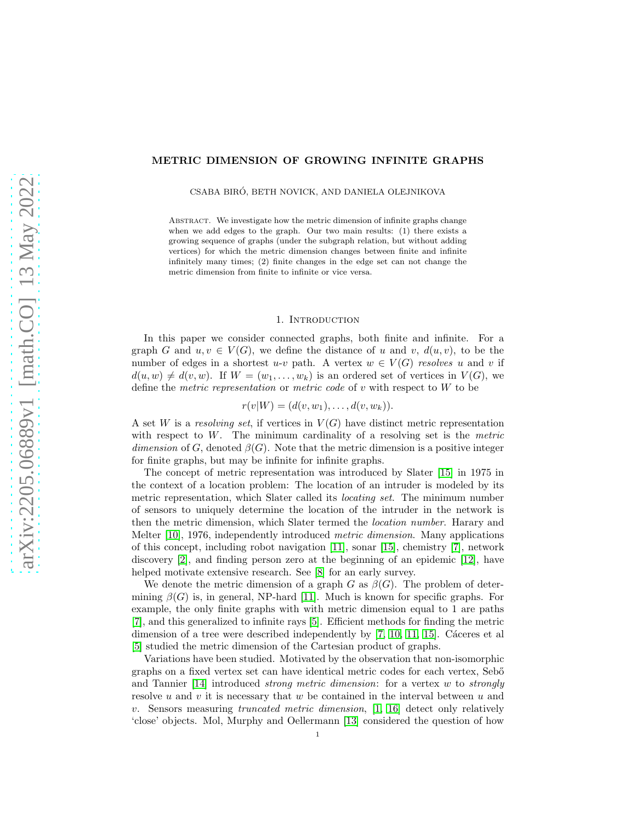# METRIC DIMENSION OF GROWING INFINITE GRAPHS

CSABA BIRÓ, BETH NOVICK, AND DANIELA OLEJNIKOVA

ABSTRACT. We investigate how the metric dimension of infinite graphs change when we add edges to the graph. Our two main results: (1) there exists a growing sequence of graphs (under the subgraph relation, but without adding vertices) for which the metric dimension changes between finite and infinite infinitely many times; (2) finite changes in the edge set can not change the metric dimension from finite to infinite or vice versa.

#### 1. INTRODUCTION

In this paper we consider connected graphs, both finite and infinite. For a graph G and  $u, v \in V(G)$ , we define the distance of u and v,  $d(u, v)$ , to be the number of edges in a shortest u-v path. A vertex  $w \in V(G)$  *resolves* u and v if  $d(u, w) \neq d(v, w)$ . If  $W = (w_1, \ldots, w_k)$  is an ordered set of vertices in  $V(G)$ , we define the *metric representation* or *metric code* of v with respect to W to be

 $r(v|W) = (d(v, w_1), \ldots, d(v, w_k)).$ 

A set W is a *resolving set*, if vertices in  $V(G)$  have distinct metric representation with respect to W. The minimum cardinality of a resolving set is the *metric dimension* of G, denoted  $\beta(G)$ . Note that the metric dimension is a positive integer for finite graphs, but may be infinite for infinite graphs.

The concept of metric representation was introduced by Slater [\[15\]](#page-12-0) in 1975 in the context of a location problem: The location of an intruder is modeled by its metric representation, which Slater called its *locating set*. The minimum number of sensors to uniquely determine the location of the intruder in the network is then the metric dimension, which Slater termed the *location number*. Harary and Melter [\[10\]](#page-12-1), 1976, independently introduced *metric dimension*. Many applications of this concept, including robot navigation [\[11\]](#page-12-2), sonar [\[15\]](#page-12-0), chemistry [\[7\]](#page-12-3), network discovery [\[2\]](#page-12-4), and finding person zero at the beginning of an epidemic [\[12\]](#page-12-5), have helped motivate extensive research. See [\[8\]](#page-12-6) for an early survey.

We denote the metric dimension of a graph G as  $\beta(G)$ . The problem of determining  $\beta(G)$  is, in general, NP-hard [\[11\]](#page-12-2). Much is known for specific graphs. For example, the only finite graphs with with metric dimension equal to 1 are paths [\[7\]](#page-12-3), and this generalized to infinite rays [\[5\]](#page-12-7). Efficient methods for finding the metric dimension of a tree were described independently by  $[7, 10, 11, 15]$  $[7, 10, 11, 15]$  $[7, 10, 11, 15]$  $[7, 10, 11, 15]$ . Cáceres et al [\[5\]](#page-12-7) studied the metric dimension of the Cartesian product of graphs.

Variations have been studied. Motivated by the observation that non-isomorphic graphs on a fixed vertex set can have identical metric codes for each vertex, Seb˝o and Tannier [\[14\]](#page-12-8) introduced *strong metric dimension*: for a vertex w to *strongly* resolve  $u$  and  $v$  it is necessary that  $w$  be contained in the interval between  $u$  and v. Sensors measuring *truncated metric dimension*, [\[1,](#page-12-9) [16\]](#page-12-10) detect only relatively 'close' objects. Mol, Murphy and Oellermann [\[13\]](#page-12-11) considered the question of how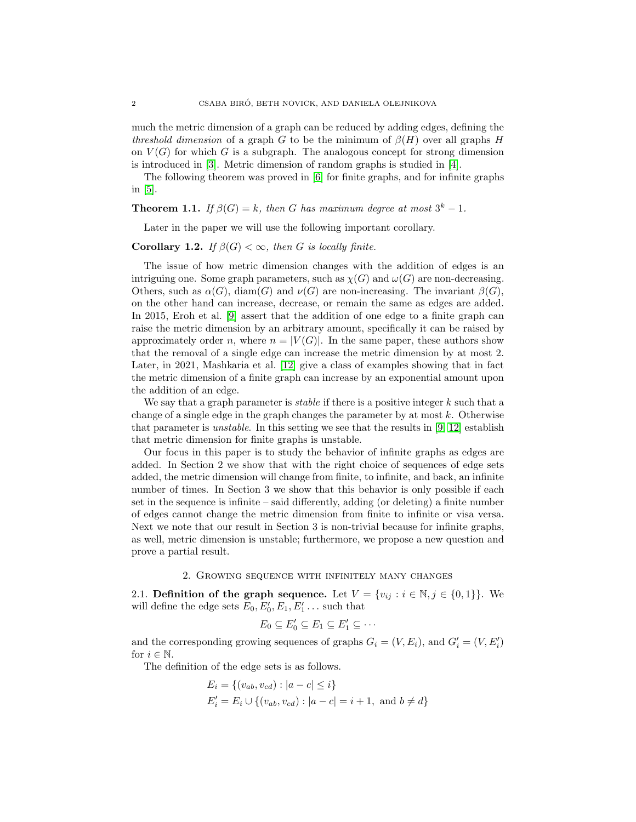much the metric dimension of a graph can be reduced by adding edges, defining the *threshold dimension* of a graph G to be the minimum of  $\beta(H)$  over all graphs H on  $V(G)$  for which G is a subgraph. The analogous concept for strong dimension is introduced in [\[3\]](#page-12-12). Metric dimension of random graphs is studied in [\[4\]](#page-12-13).

The following theorem was proved in [\[6\]](#page-12-14) for finite graphs, and for infinite graphs in [\[5\]](#page-12-7).

# **Theorem 1.1.** *If*  $\beta(G) = k$ *, then G has maximum degree at most*  $3^k - 1$ *.*

Later in the paper we will use the following important corollary.

# <span id="page-1-1"></span>**Corollary 1.2.** *If*  $\beta(G) < \infty$ *, then G is locally finite.*

The issue of how metric dimension changes with the addition of edges is an intriguing one. Some graph parameters, such as  $\chi(G)$  and  $\omega(G)$  are non-decreasing. Others, such as  $\alpha(G)$ , diam(G) and  $\nu(G)$  are non-increasing. The invariant  $\beta(G)$ , on the other hand can increase, decrease, or remain the same as edges are added. In 2015, Eroh et al. [\[9\]](#page-12-15) assert that the addition of one edge to a finite graph can raise the metric dimension by an arbitrary amount, specifically it can be raised by approximately order n, where  $n = |V(G)|$ . In the same paper, these authors show that the removal of a single edge can increase the metric dimension by at most 2. Later, in 2021, Mashkaria et al. [\[12\]](#page-12-5) give a class of examples showing that in fact the metric dimension of a finite graph can increase by an exponential amount upon the addition of an edge.

We say that a graph parameter is *stable* if there is a positive integer k such that a change of a single edge in the graph changes the parameter by at most  $k$ . Otherwise that parameter is *unstable*. In this setting we see that the results in [\[9,](#page-12-15) [12\]](#page-12-5) establish that metric dimension for finite graphs is unstable.

Our focus in this paper is to study the behavior of infinite graphs as edges are added. In Section 2 we show that with the right choice of sequences of edge sets added, the metric dimension will change from finite, to infinite, and back, an infinite number of times. In Section 3 we show that this behavior is only possible if each set in the sequence is infinite – said differently, adding (or deleting) a finite number of edges cannot change the metric dimension from finite to infinite or visa versa. Next we note that our result in Section 3 is non-trivial because for infinite graphs, as well, metric dimension is unstable; furthermore, we propose a new question and prove a partial result.

### 2. Growing sequence with infinitely many changes

<span id="page-1-0"></span>2.1. Definition of the graph sequence. Let  $V = \{v_{ij} : i \in \mathbb{N}, j \in \{0,1\}\}\.$  We will define the edge sets  $E_0, E'_0, E_1, E'_1 \dots$  such that

$$
E_0 \subseteq E'_0 \subseteq E_1 \subseteq E'_1 \subseteq \cdots
$$

and the corresponding growing sequences of graphs  $G_i = (V, E_i)$ , and  $G'_i = (V, E'_i)$ for  $i \in \mathbb{N}$ .

The definition of the edge sets is as follows.

$$
E_i = \{(v_{ab}, v_{cd}) : |a - c| \le i\}
$$
  

$$
E'_i = E_i \cup \{(v_{ab}, v_{cd}) : |a - c| = i + 1, \text{ and } b \ne d\}
$$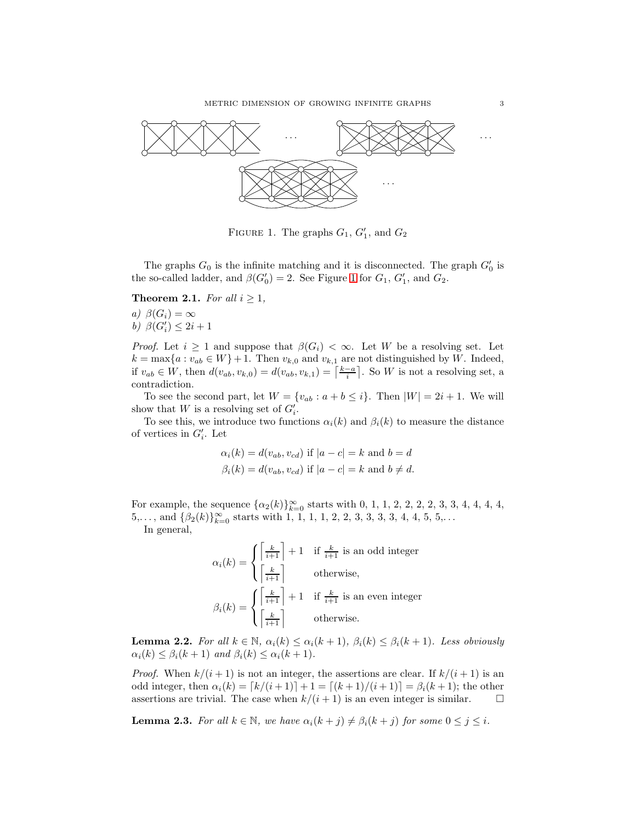

<span id="page-2-0"></span>FIGURE 1. The graphs  $G_1, G'_1$ , and  $G_2$ 

The graphs  $G_0$  is the infinite matching and it is disconnected. The graph  $G'_0$  is the so-called ladder, and  $\beta(G'_0) = 2$ . See Figure [1](#page-2-0) for  $G_1, G'_1$ , and  $G_2$ .

**Theorem 2.1.** *For all*  $i \geq 1$ *,* 

*a)*  $\beta(G_i) = \infty$ *b*)  $\beta(G'_i) \leq 2i + 1$ 

*Proof.* Let  $i \geq 1$  and suppose that  $\beta(G_i) < \infty$ . Let W be a resolving set. Let  $k = \max\{a : v_{ab} \in W\} + 1$ . Then  $v_{k,0}$  and  $v_{k,1}$  are not distinguished by W. Indeed, if  $v_{ab} \in W$ , then  $d(v_{ab}, v_{k,0}) = d(v_{ab}, v_{k,1}) = \left\lceil \frac{k-a}{i} \right\rceil$ . So W is not a resolving set, a contradiction.

To see the second part, let  $W = \{v_{ab} : a+b \leq i\}$ . Then  $|W| = 2i + 1$ . We will show that W is a resolving set of  $G'_{i}$ .

To see this, we introduce two functions  $\alpha_i(k)$  and  $\beta_i(k)$  to measure the distance of vertices in  $G'_{i}$ . Let

$$
\alpha_i(k) = d(v_{ab}, v_{cd}) \text{ if } |a - c| = k \text{ and } b = d
$$
  

$$
\beta_i(k) = d(v_{ab}, v_{cd}) \text{ if } |a - c| = k \text{ and } b \neq d.
$$

For example, the sequence  $\{\alpha_2(k)\}_{k=0}^{\infty}$  starts with 0, 1, 1, 2, 2, 2, 2, 3, 3, 4, 4, 4, 4,  $5,\ldots$ , and  $\{\beta_2(k)\}_{k=0}^{\infty}$  starts with 1, 1, 1, 1, 2, 2, 3, 3, 3, 3, 4, 4, 5, 5,...

In general,

$$
\alpha_i(k) = \begin{cases} \left\lceil \frac{k}{i+1} \right\rceil + 1 & \text{if } \frac{k}{i+1} \text{ is an odd integer} \\ \left\lceil \frac{k}{i+1} \right\rceil & \text{otherwise,} \end{cases}
$$

$$
\beta_i(k) = \begin{cases} \left\lceil \frac{k}{i+1} \right\rceil + 1 & \text{if } \frac{k}{i+1} \text{ is an even integer} \\ \left\lceil \frac{k}{i+1} \right\rceil & \text{otherwise.} \end{cases}
$$

<span id="page-2-1"></span>**Lemma 2.2.** *For all*  $k \in \mathbb{N}$ ,  $\alpha_i(k) \leq \alpha_i(k+1)$ ,  $\beta_i(k) \leq \beta_i(k+1)$ *. Less obviously*  $\alpha_i(k) \leq \beta_i(k+1)$  *and*  $\beta_i(k) \leq \alpha_i(k+1)$ *.* 

*Proof.* When  $k/(i+1)$  is not an integer, the assertions are clear. If  $k/(i+1)$  is an odd integer, then  $\alpha_i(k) = [k/(i+1)] + 1 = [(k+1)/(i+1)] = \beta_i(k+1)$ ; the other assertions are trivial. The case when  $k/(i+1)$  is an even integer is similar.  $\square$ 

<span id="page-2-2"></span>**Lemma 2.3.** *For all*  $k \in \mathbb{N}$ *, we have*  $\alpha_i(k + j) \neq \beta_i(k + j)$  *for some*  $0 \leq j \leq i$ *.*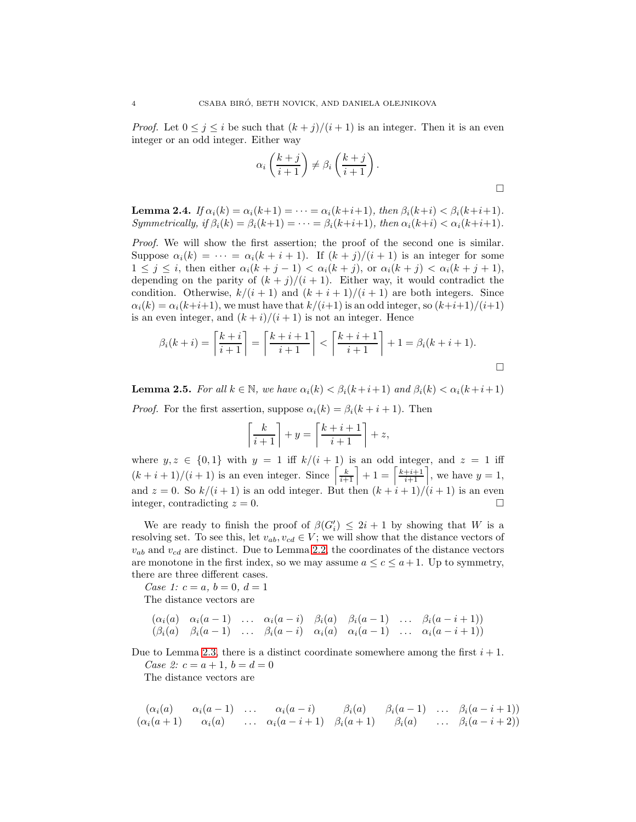*Proof.* Let  $0 \leq j \leq i$  be such that  $(k + j)/(i + 1)$  is an integer. Then it is an even integer or an odd integer. Either way

$$
\alpha_i\left(\frac{k+j}{i+1}\right) \neq \beta_i\left(\frac{k+j}{i+1}\right).
$$

<span id="page-3-0"></span>**Lemma 2.4.** *If*  $\alpha_i(k) = \alpha_i(k+1) = \cdots = \alpha_i(k+i+1)$ *, then*  $\beta_i(k+i) < \beta_i(k+i+1)$ *. Symmetrically, if*  $\beta_i(k) = \beta_i(k+1) = \cdots = \beta_i(k+i+1)$ *, then*  $\alpha_i(k+i) < \alpha_i(k+i+1)$ *.* 

*Proof.* We will show the first assertion; the proof of the second one is similar. Suppose  $\alpha_i(k) = \cdots = \alpha_i(k + i + 1)$ . If  $(k + j)/(i + 1)$  is an integer for some  $1 \leq j \leq i$ , then either  $\alpha_i(k+j-1) < \alpha_i(k+j)$ , or  $\alpha_i(k+j) < \alpha_i(k+j+1)$ , depending on the parity of  $(k + j)/(i + 1)$ . Either way, it would contradict the condition. Otherwise,  $k/(i + 1)$  and  $(k + i + 1)/(i + 1)$  are both integers. Since  $\alpha_i(k) = \alpha_i(k+i+1)$ , we must have that  $k/(i+1)$  is an odd integer, so  $(k+i+1)/(i+1)$ is an even integer, and  $(k + i)/(i + 1)$  is not an integer. Hence

$$
\beta_i(k+i) = \left\lceil \frac{k+i}{i+1} \right\rceil = \left\lceil \frac{k+i+1}{i+1} \right\rceil < \left\lceil \frac{k+i+1}{i+1} \right\rceil + 1 = \beta_i(k+i+1).
$$

<span id="page-3-1"></span>**Lemma 2.5.** *For all*  $k \in \mathbb{N}$ , we have  $\alpha_i(k) < \beta_i(k+i+1)$  and  $\beta_i(k) < \alpha_i(k+i+1)$ 

*Proof.* For the first assertion, suppose  $\alpha_i(k) = \beta_i(k+i+1)$ . Then

$$
\left\lceil \frac{k}{i+1} \right\rceil + y = \left\lceil \frac{k+i+1}{i+1} \right\rceil + z,
$$

where  $y, z \in \{0, 1\}$  with  $y = 1$  iff  $k/(i + 1)$  is an odd integer, and  $z = 1$  iff  $(k+i+1)/(i+1)$  is an even integer. Since  $\left[\frac{k}{i+1}\right]+1=\left[\frac{k+i+1}{i+1}\right]$ , we have  $y=1$ , and  $z = 0$ . So  $k/(i + 1)$  is an odd integer. But then  $(k + i + 1)/(i + 1)$  is an even integer, contradicting  $z = 0$ .

We are ready to finish the proof of  $\beta(G_i') \leq 2i + 1$  by showing that W is a resolving set. To see this, let  $v_{ab}, v_{cd} \in V$ ; we will show that the distance vectors of  $v_{ab}$  and  $v_{cd}$  are distinct. Due to Lemma [2.2,](#page-2-1) the coordinates of the distance vectors are monotone in the first index, so we may assume  $a \leq c \leq a+1$ . Up to symmetry, there are three different cases.

*Case 1:*  $c = a, b = 0, d = 1$ The distance vectors are

$$
\begin{array}{ccccccccc}\n(\alpha_i(a) & \alpha_i(a-1) & \dots & \alpha_i(a-i) & \beta_i(a) & \beta_i(a-1) & \dots & \beta_i(a-i+1) \\
(\beta_i(a) & \beta_i(a-1) & \dots & \beta_i(a-i) & \alpha_i(a) & \alpha_i(a-1) & \dots & \alpha_i(a-i+1))\n\end{array}
$$

Due to Lemma [2.3,](#page-2-2) there is a distinct coordinate somewhere among the first  $i + 1$ .

*Case 2:*  $c = a + 1, b = d = 0$ The distance vectors are

$$
\begin{array}{ccccccccc}\n(\alpha_i(a) & \alpha_i(a-1) & \dots & \alpha_i(a-i) & \beta_i(a) & \beta_i(a-1) & \dots & \beta_i(a-i+1) \\
(\alpha_i(a+1) & \alpha_i(a) & \dots & \alpha_i(a-i+1) & \beta_i(a+1) & \beta_i(a) & \dots & \beta_i(a-i+2)\n\end{array}
$$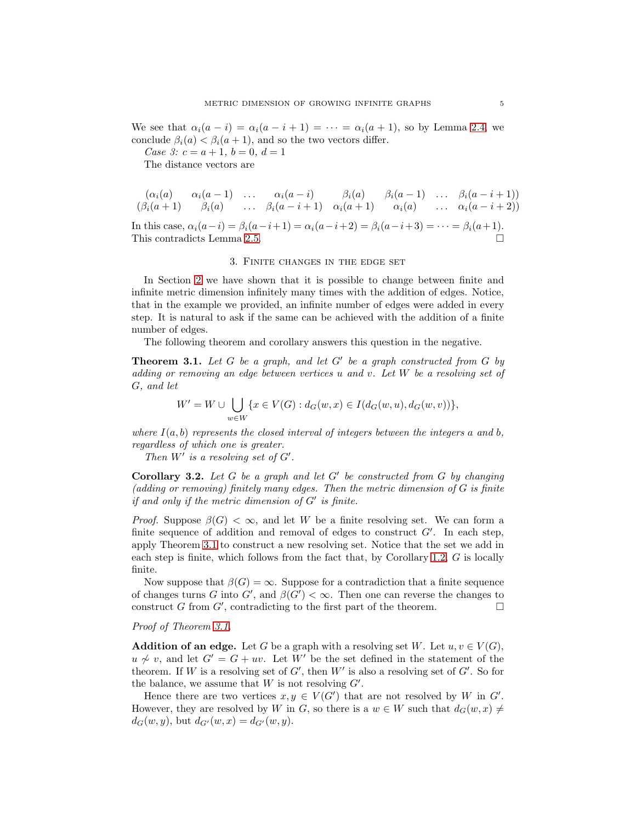We see that  $\alpha_i(a - i) = \alpha_i(a - i + 1) = \cdots = \alpha_i(a + 1)$ , so by Lemma [2.4,](#page-3-0) we conclude  $\beta_i(a) < \beta_i(a+1)$ , and so the two vectors differ.

*Case 3:*  $c = a + 1, b = 0, d = 1$ 

The distance vectors are

$$
\begin{array}{ccccccccc}\n(\alpha_i(a) & \alpha_i(a-1) & \dots & \alpha_i(a-i) & \beta_i(a) & \beta_i(a-1) & \dots & \beta_i(a-i+1) \\
(\beta_i(a+1) & \beta_i(a) & \dots & \beta_i(a-i+1) & \alpha_i(a+1) & \alpha_i(a) & \dots & \alpha_i(a-i+2))\n\end{array}
$$

<span id="page-4-1"></span>In this case,  $\alpha_i(a-i) = \beta_i(a-i+1) = \alpha_i(a-i+2) = \beta_i(a-i+3) = \cdots = \beta_i(a+1)$ . This contradicts Lemma [2.5.](#page-3-1)

### 3. Finite changes in the edge set

In Section [2](#page-1-0) we have shown that it is possible to change between finite and infinite metric dimension infinitely many times with the addition of edges. Notice, that in the example we provided, an infinite number of edges were added in every step. It is natural to ask if the same can be achieved with the addition of a finite number of edges.

The following theorem and corollary answers this question in the negative.

<span id="page-4-0"></span>Theorem 3.1. *Let* G *be a graph, and let* G′ *be a graph constructed from* G *by adding or removing an edge between vertices* u *and* v*. Let* W *be a resolving set of* G*, and let*

$$
W' = W \cup \bigcup_{w \in W} \{x \in V(G) : d_G(w, x) \in I(d_G(w, u), d_G(w, v))\},\
$$

*where*  $I(a, b)$  *represents the closed interval of integers between the integers* a and b, *regardless of which one is greater.*

*Then*  $W'$  *is a resolving set of*  $G'$ *.* 

<span id="page-4-2"></span>Corollary 3.2. *Let* G *be a graph and let* G′ *be constructed from* G *by changing (adding or removing) finitely many edges. Then the metric dimension of* G *is finite if and only if the metric dimension of* G′ *is finite.*

*Proof.* Suppose  $\beta(G) < \infty$ , and let W be a finite resolving set. We can form a finite sequence of addition and removal of edges to construct  $G'$ . In each step, apply Theorem [3.1](#page-4-0) to construct a new resolving set. Notice that the set we add in each step is finite, which follows from the fact that, by Corollary [1.2,](#page-1-1)  $G$  is locally finite.

Now suppose that  $\beta(G) = \infty$ . Suppose for a contradiction that a finite sequence of changes turns G into  $G'$ , and  $\beta(G') < \infty$ . Then one can reverse the changes to construct G from  $G'$ , contradicting to the first part of the theorem.

# *Proof of Theorem [3.1.](#page-4-0)*

**Addition of an edge.** Let G be a graph with a resolving set W. Let  $u, v \in V(G)$ ,  $u \nsim v$ , and let  $G' = G + uv$ . Let W' be the set defined in the statement of the theorem. If W is a resolving set of  $G'$ , then  $W'$  is also a resolving set of  $G'$ . So for the balance, we assume that  $W$  is not resolving  $G'$ .

Hence there are two vertices  $x, y \in V(G')$  that are not resolved by W in G'. However, they are resolved by W in G, so there is a  $w \in W$  such that  $d_G(w, x) \neq$  $d_G(w, y)$ , but  $d_{G'}(w, x) = d_{G'}(w, y)$ .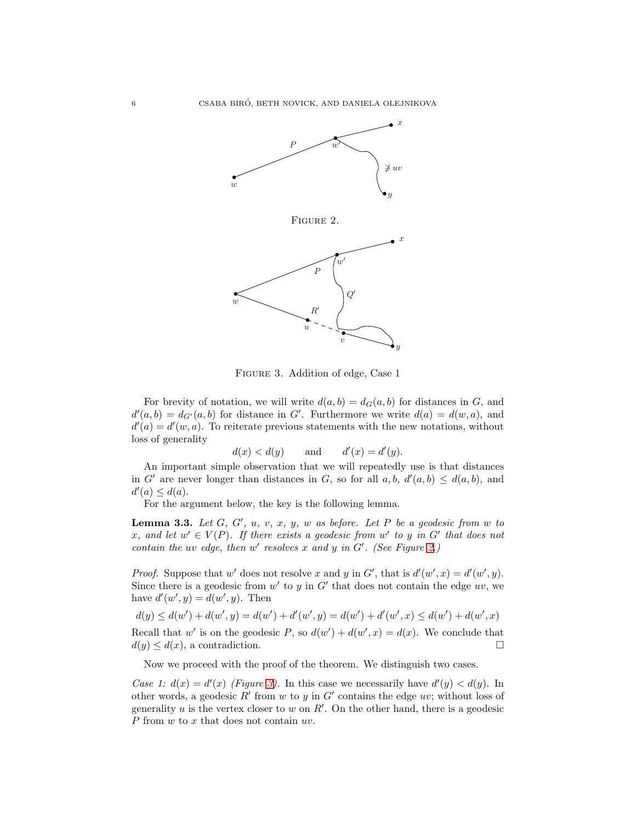

<span id="page-5-0"></span>



<span id="page-5-1"></span>Figure 3. Addition of edge, Case 1

For brevity of notation, we will write  $d(a, b) = d_G(a, b)$  for distances in G, and  $d'(a, b) = d_{G'}(a, b)$  for distance in G'. Furthermore we write  $d(a) = d(w, a)$ , and  $d'(a) = d'(w, a)$ . To reiterate previous statements with the new notations, without loss of generality

$$
d(x) < d(y) \qquad \text{and} \qquad d'(x) = d'(y).
$$

An important simple observation that we will repeatedly use is that distances in G' are never longer than distances in G, so for all  $a, b, d'(a, b) \leq d(a, b)$ , and  $d'(a) \leq d(a)$ .

For the argument below, the key is the following lemma.

<span id="page-5-2"></span>**Lemma 3.3.** Let  $G$ ,  $G'$ ,  $u$ ,  $v$ ,  $x$ ,  $y$ ,  $w$  as before. Let  $P$  be a geodesic from  $w$  to x, and let  $w' \in V(P)$ . If there exists a geodesic from  $w'$  to  $y$  in  $G'$  that does not *contain the uv edge, then*  $w'$  *resolves*  $x$  *and*  $y$  *in*  $G'$ *. (See Figure [2.](#page-5-0))* 

*Proof.* Suppose that w' does not resolve x and y in G', that is  $d'(w', x) = d'(w', y)$ . Since there is a geodesic from  $w'$  to y in  $G'$  that does not contain the edge  $uv$ , we have  $d'(w', y) = d(w', y)$ . Then

$$
d(y) \le d(w') + d(w', y) = d(w') + d'(w', y) = d(w') + d'(w', x) \le d(w') + d(w', x)
$$
  
Recall that w' is on the geodesic P, so  $d(w') + d(w', x) = d(x)$ . We conclude that  $d(y) \le d(x)$ , a contradiction.

Now we proceed with the proof of the theorem. We distinguish two cases.

Case 1:  $d(x) = d'(x)$  (Figure [3\)](#page-5-1). In this case we necessarily have  $d'(y) < d(y)$ . In other words, a geodesic  $R'$  from  $w$  to  $y$  in  $G'$  contains the edge  $uv$ ; without loss of generality  $u$  is the vertex closer to  $w$  on  $R'$ . On the other hand, there is a geodesic  $P$  from  $w$  to  $x$  that does not contain  $uv$ .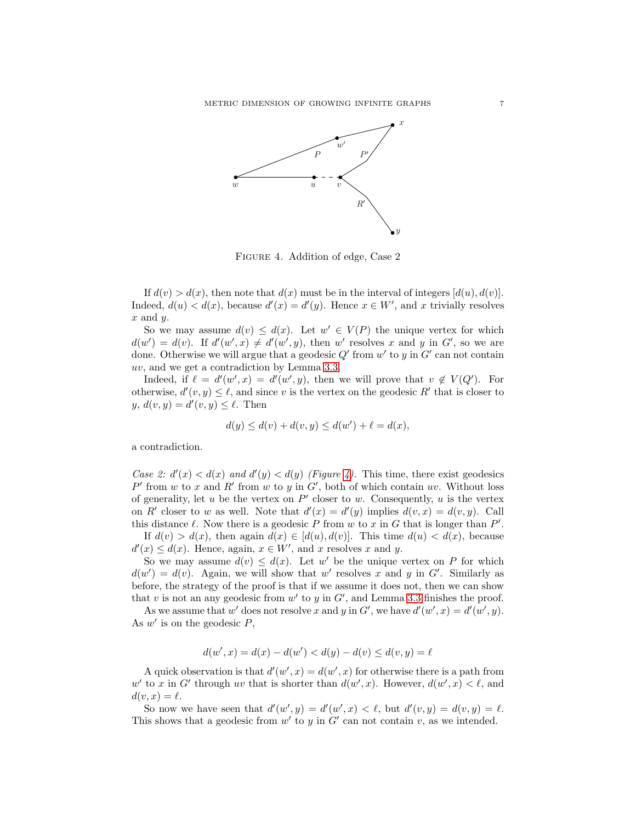

<span id="page-6-0"></span>Figure 4. Addition of edge, Case 2

If  $d(v) > d(x)$ , then note that  $d(x)$  must be in the interval of integers  $[d(u), d(v)]$ . Indeed,  $d(u) < d(x)$ , because  $d'(x) = d'(y)$ . Hence  $x \in W'$ , and x trivially resolves  $x$  and  $y$ .

So we may assume  $d(v) \leq d(x)$ . Let  $w' \in V(P)$  the unique vertex for which  $d(w') = d(v)$ . If  $d'(w', x) \neq d'(w', y)$ , then w' resolves x and y in G', so we are done. Otherwise we will argue that a geodesic  $Q'$  from  $w'$  to  $y$  in  $G'$  can not contain uv, and we get a contradiction by Lemma [3.3.](#page-5-2)

Indeed, if  $\ell = d'(w', x) = d'(w', y)$ , then we will prove that  $v \notin V(Q')$ . For otherwise,  $d'(v, y) \leq \ell$ , and since v is the vertex on the geodesic R' that is closer to  $y, d(v, y) = d'(v, y) \leq \ell$ . Then

$$
d(y) \le d(v) + d(v, y) \le d(w') + \ell = d(x),
$$

a contradiction.

*Case 2:*  $d'(x) < d(x)$  *and*  $d'(y) < d(y)$  *(Figure [4\)](#page-6-0).* This time, there exist geodesics  $P'$  from w to x and R' from w to y in G', both of which contain uv. Without loss of generality, let u be the vertex on  $P'$  closer to w. Consequently, u is the vertex on R' closer to w as well. Note that  $d'(x) = d'(y)$  implies  $d(v, x) = d(v, y)$ . Call this distance  $\ell$ . Now there is a geodesic P from  $w$  to  $x$  in  $G$  that is longer than  $P'$ .

If  $d(v) > d(x)$ , then again  $d(x) \in [d(u), d(v)]$ . This time  $d(u) < d(x)$ , because  $d'(x) \leq d(x)$ . Hence, again,  $x \in W'$ , and x resolves x and y.

So we may assume  $d(v) \leq d(x)$ . Let w' be the unique vertex on P for which  $d(w') = d(v)$ . Again, we will show that w' resolves x and y in G'. Similarly as before, the strategy of the proof is that if we assume it does not, then we can show that v is not an any geodesic from  $w'$  to y in  $G'$ , and Lemma [3.3](#page-5-2) finishes the proof.

As we assume that w' does not resolve x and y in G', we have  $d'(w',x) = d'(w',y)$ . As  $w'$  is on the geodesic  $P$ ,

$$
d(w',x) = d(x) - d(w') < d(y) - d(v) \le d(v,y) = \ell
$$

A quick observation is that  $d'(w', x) = d(w', x)$  for otherwise there is a path from w' to x in G' through uv that is shorter than  $d(w',x)$ . However,  $d(w',x) < \ell$ , and  $d(v, x) = \ell.$ 

So now we have seen that  $d'(w', y) = d'(w', x) < \ell$ , but  $d'(v, y) = d(v, y) = \ell$ . This shows that a geodesic from  $w'$  to y in  $G'$  can not contain v, as we intended.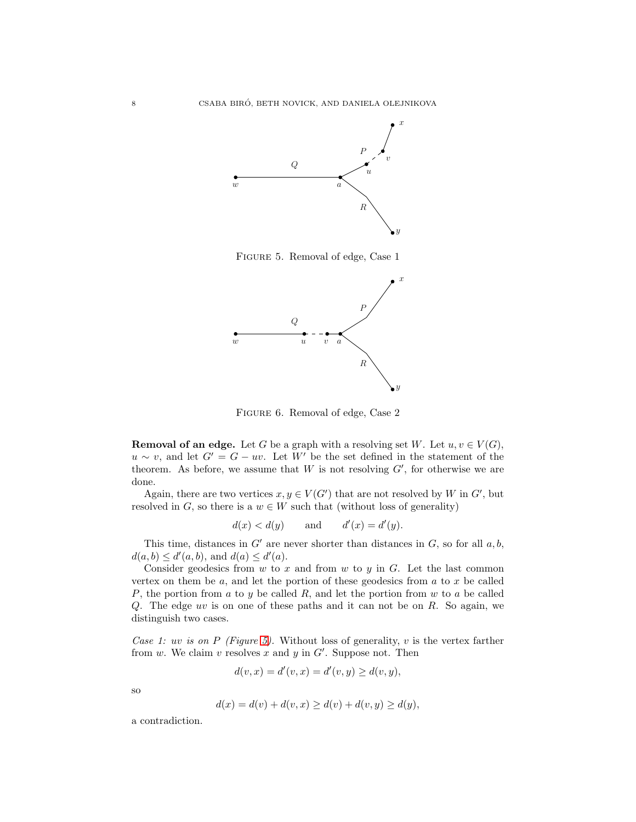

<span id="page-7-0"></span>Figure 5. Removal of edge, Case 1



<span id="page-7-1"></span>Figure 6. Removal of edge, Case 2

**Removal of an edge.** Let G be a graph with a resolving set W. Let  $u, v \in V(G)$ ,  $u \sim v$ , and let  $G' = G - uv$ . Let W' be the set defined in the statement of the theorem. As before, we assume that  $W$  is not resolving  $G'$ , for otherwise we are done.

Again, there are two vertices  $x, y \in V(G')$  that are not resolved by W in G', but resolved in G, so there is a  $w \in W$  such that (without loss of generality)

$$
d(x) < d(y) \qquad \text{and} \qquad d'(x) = d'(y).
$$

This time, distances in  $G'$  are never shorter than distances in  $G$ , so for all  $a, b$ ,  $d(a, b) \le d'(a, b)$ , and  $d(a) \le d'(a)$ .

Consider geodesics from  $w$  to  $x$  and from  $w$  to  $y$  in  $G$ . Let the last common vertex on them be  $a$ , and let the portion of these geodesics from  $a$  to  $x$  be called P, the portion from a to y be called  $R$ , and let the portion from w to a be called  $Q$ . The edge uv is on one of these paths and it can not be on  $R$ . So again, we distinguish two cases.

*Case 1:* uv *is on* P *(Figure [5\)](#page-7-0).* Without loss of generality, v is the vertex farther from  $w$ . We claim  $v$  resolves  $x$  and  $y$  in  $G'$ . Suppose not. Then

$$
d(v, x) = d'(v, x) = d'(v, y) \ge d(v, y),
$$

so

$$
d(x) = d(v) + d(v, x) \ge d(v) + d(v, y) \ge d(y),
$$

a contradiction.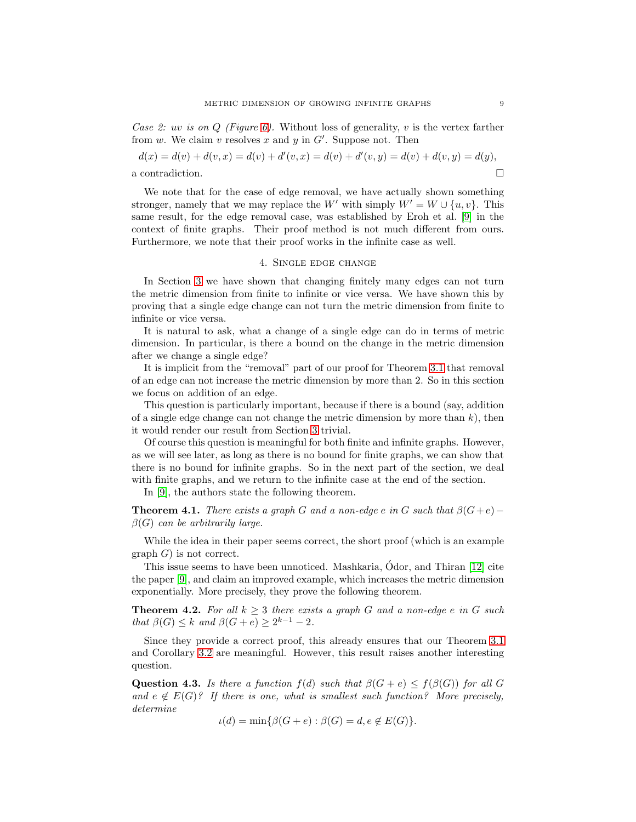*Case 2:* uv *is on* Q *(Figure [6\)](#page-7-1).* Without loss of generality, v is the vertex farther from  $w$ . We claim  $v$  resolves  $x$  and  $y$  in  $G'$ . Suppose not. Then

$$
d(x) = d(v) + d(v, x) = d(v) + d'(v, x) = d(v) + d'(v, y) = d(v) + d(v, y) = d(y),
$$
  
a contradiction.

We note that for the case of edge removal, we have actually shown something stronger, namely that we may replace the W' with simply  $W' = W \cup \{u, v\}$ . This same result, for the edge removal case, was established by Eroh et al. [\[9\]](#page-12-15) in the context of finite graphs. Their proof method is not much different from ours. Furthermore, we note that their proof works in the infinite case as well.

# 4. Single edge change

In Section [3](#page-4-1) we have shown that changing finitely many edges can not turn the metric dimension from finite to infinite or vice versa. We have shown this by proving that a single edge change can not turn the metric dimension from finite to infinite or vice versa.

It is natural to ask, what a change of a single edge can do in terms of metric dimension. In particular, is there a bound on the change in the metric dimension after we change a single edge?

It is implicit from the "removal" part of our proof for Theorem [3.1](#page-4-0) that removal of an edge can not increase the metric dimension by more than 2. So in this section we focus on addition of an edge.

This question is particularly important, because if there is a bound (say, addition of a single edge change can not change the metric dimension by more than  $k$ ), then it would render our result from Section [3](#page-4-1) trivial.

Of course this question is meaningful for both finite and infinite graphs. However, as we will see later, as long as there is no bound for finite graphs, we can show that there is no bound for infinite graphs. So in the next part of the section, we deal with finite graphs, and we return to the infinite case at the end of the section.

In [\[9\]](#page-12-15), the authors state the following theorem.

**Theorem 4.1.** *There exists a graph* G and a non-edge e in G such that  $\beta(G+e)$ − β(G) *can be arbitrarily large.*

While the idea in their paper seems correct, the short proof (which is an example  $graph G$  is not correct.

This issue seems to have been unnoticed. Mashkaria, Odor, and Thiran [\[12\]](#page-12-5) cite ´ the paper [\[9\]](#page-12-15), and claim an improved example, which increases the metric dimension exponentially. More precisely, they prove the following theorem.

<span id="page-8-0"></span>**Theorem 4.2.** For all  $k \geq 3$  there exists a graph G and a non-edge e in G such *that*  $\beta(G) \leq k$  *and*  $\beta(G + e) \geq 2^{k-1} - 2$ *.* 

Since they provide a correct proof, this already ensures that our Theorem [3.1](#page-4-0) and Corollary [3.2](#page-4-2) are meaningful. However, this result raises another interesting question.

<span id="page-8-1"></span>**Question 4.3.** *Is there a function*  $f(d)$  *such that*  $\beta(G + e) \leq f(\beta(G))$  *for all* G and  $e \notin E(G)$ ? If there is one, what is smallest such function? More precisely, *determine*

 $\iota(d) = \min\{\beta(G + e) : \beta(G) = d, e \notin E(G)\}.$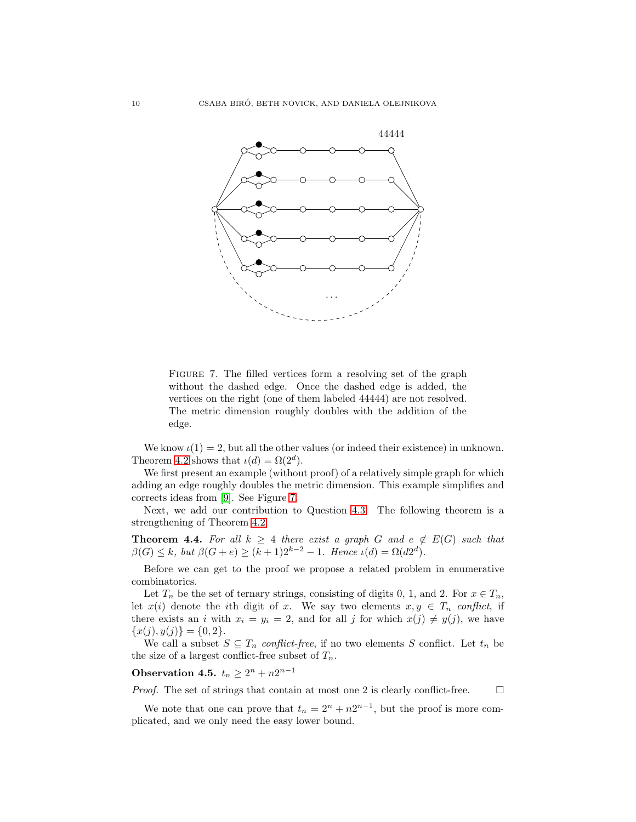

<span id="page-9-0"></span>FIGURE 7. The filled vertices form a resolving set of the graph without the dashed edge. Once the dashed edge is added, the vertices on the right (one of them labeled 44444) are not resolved. The metric dimension roughly doubles with the addition of the edge.

We know  $\iota(1) = 2$ , but all the other values (or indeed their existence) in unknown. Theorem [4.2](#page-8-0) shows that  $\iota(d) = \Omega(2^d)$ .

We first present an example (without proof) of a relatively simple graph for which adding an edge roughly doubles the metric dimension. This example simplifies and corrects ideas from [\[9\]](#page-12-15). See Figure [7.](#page-9-0)

Next, we add our contribution to Question [4.3.](#page-8-1) The following theorem is a strengthening of Theorem [4.2.](#page-8-0)

<span id="page-9-1"></span>**Theorem 4.4.** For all  $k \geq 4$  there exist a graph G and  $e \notin E(G)$  such that  $\beta(G) \leq k$ , but  $\beta(G + e) \geq (k+1)2^{k-2} - 1$ . Hence  $\iota(d) = \Omega(d2^d)$ .

Before we can get to the proof we propose a related problem in enumerative combinatorics.

Let  $T_n$  be the set of ternary strings, consisting of digits 0, 1, and 2. For  $x \in T_n$ , let  $x(i)$  denote the *i*th digit of x. We say two elements  $x, y \in T_n$  conflict, if there exists an *i* with  $x_i = y_i = 2$ , and for all *j* for which  $x(j) \neq y(j)$ , we have  $\{x(j), y(j)\} = \{0, 2\}.$ 

We call a subset  $S \subseteq T_n$  *conflict-free*, if no two elements S conflict. Let  $t_n$  be the size of a largest conflict-free subset of  $T_n$ .

Observation 4.5.  $t_n \geq 2^n + n2^{n-1}$ 

*Proof.* The set of strings that contain at most one 2 is clearly conflict-free.  $\Box$ 

We note that one can prove that  $t_n = 2^n + n2^{n-1}$ , but the proof is more complicated, and we only need the easy lower bound.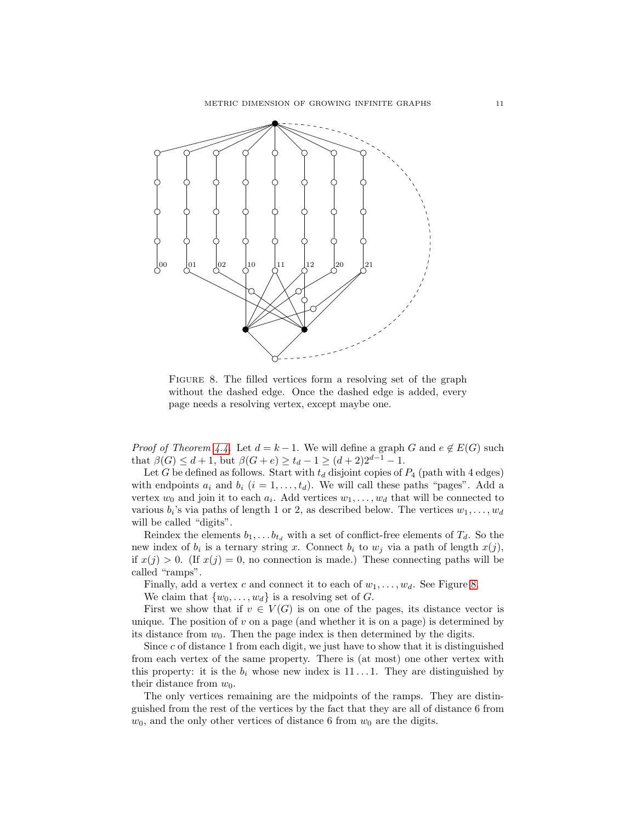

<span id="page-10-0"></span>FIGURE 8. The filled vertices form a resolving set of the graph without the dashed edge. Once the dashed edge is added, every page needs a resolving vertex, except maybe one.

*Proof of Theorem [4.4.](#page-9-1)* Let  $d = k - 1$ . We will define a graph G and  $e \notin E(G)$  such that  $\beta(G) \leq d+1$ , but  $\beta(G+e) \geq t_d - 1 \geq (d+2)2^{d-1} - 1$ .

Let G be defined as follows. Start with  $t_d$  disjoint copies of  $P_4$  (path with 4 edges) with endpoints  $a_i$  and  $b_i$   $(i = 1, \ldots, t_d)$ . We will call these paths "pages". Add a vertex  $w_0$  and join it to each  $a_i$ . Add vertices  $w_1, \ldots, w_d$  that will be connected to various  $b_i$ 's via paths of length 1 or 2, as described below. The vertices  $w_1, \ldots, w_d$ will be called "digits".

Reindex the elements  $b_1, \ldots, b_{t_d}$  with a set of conflict-free elements of  $T_d$ . So the new index of  $b_i$  is a ternary string x. Connect  $b_i$  to  $w_j$  via a path of length  $x(j)$ , if  $x(j) > 0$ . (If  $x(j) = 0$ , no connection is made.) These connecting paths will be called "ramps".

Finally, add a vertex c and connect it to each of  $w_1, \ldots, w_d$ . See Figure [8.](#page-10-0)

We claim that  $\{w_0, \ldots, w_d\}$  is a resolving set of G.

First we show that if  $v \in V(G)$  is on one of the pages, its distance vector is unique. The position of  $v$  on a page (and whether it is on a page) is determined by its distance from  $w_0$ . Then the page index is then determined by the digits.

Since  $c$  of distance 1 from each digit, we just have to show that it is distinguished from each vertex of the same property. There is (at most) one other vertex with this property: it is the  $b_i$  whose new index is 11...1. They are distinguished by their distance from  $w_0$ .

The only vertices remaining are the midpoints of the ramps. They are distinguished from the rest of the vertices by the fact that they are all of distance 6 from  $w_0$ , and the only other vertices of distance 6 from  $w_0$  are the digits.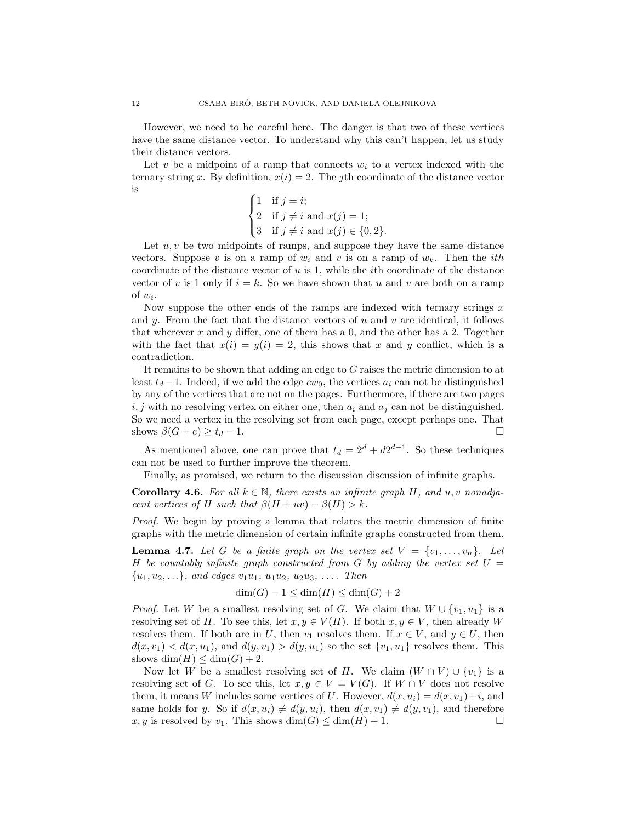However, we need to be careful here. The danger is that two of these vertices have the same distance vector. To understand why this can't happen, let us study their distance vectors.

Let v be a midpoint of a ramp that connects  $w_i$  to a vertex indexed with the ternary string x. By definition,  $x(i) = 2$ . The jth coordinate of the distance vector is

$$
\begin{cases}\n1 & \text{if } j = i; \\
2 & \text{if } j \neq i \text{ and } x(j) = 1; \\
3 & \text{if } j \neq i \text{ and } x(j) \in \{0, 2\}.\n\end{cases}
$$

Let  $u, v$  be two midpoints of ramps, and suppose they have the same distance vectors. Suppose v is on a ramp of  $w_i$  and v is on a ramp of  $w_k$ . Then the *i*th coordinate of the distance vector of  $u$  is 1, while the *i*th coordinate of the distance vector of v is 1 only if  $i = k$ . So we have shown that u and v are both on a ramp of  $w_i$ .

Now suppose the other ends of the ramps are indexed with ternary strings  $x$ and y. From the fact that the distance vectors of  $u$  and  $v$  are identical, it follows that wherever  $x$  and  $y$  differ, one of them has a 0, and the other has a 2. Together with the fact that  $x(i) = y(i) = 2$ , this shows that x and y conflict, which is a contradiction.

It remains to be shown that adding an edge to G raises the metric dimension to at least  $t_d - 1$ . Indeed, if we add the edge  $cw_0$ , the vertices  $a_i$  can not be distinguished by any of the vertices that are not on the pages. Furthermore, if there are two pages  $i, j$  with no resolving vertex on either one, then  $a_i$  and  $a_j$  can not be distinguished. So we need a vertex in the resolving set from each page, except perhaps one. That shows  $\beta(G+e) \ge t_d - 1$ .

As mentioned above, one can prove that  $t_d = 2^d + d2^{d-1}$ . So these techniques can not be used to further improve the theorem.

Finally, as promised, we return to the discussion discussion of infinite graphs.

<span id="page-11-0"></span>**Corollary 4.6.** For all  $k \in \mathbb{N}$ , there exists an infinite graph H, and u, v nonadja*cent vertices of* H *such that*  $\beta(H + uv) - \beta(H) > k$ .

*Proof.* We begin by proving a lemma that relates the metric dimension of finite graphs with the metric dimension of certain infinite graphs constructed from them.

<span id="page-11-1"></span>**Lemma 4.7.** Let G be a finite graph on the vertex set  $V = \{v_1, \ldots, v_n\}$ . Let H *be countably infinite graph constructed from* G *by adding the vertex set* U =  $\{u_1, u_2, \ldots\}$ *, and edges*  $v_1u_1, u_1u_2, u_2u_3, \ldots$  Then

$$
\dim(G) - 1 \le \dim(H) \le \dim(G) + 2
$$

*Proof.* Let W be a smallest resolving set of G. We claim that  $W \cup \{v_1, u_1\}$  is a resolving set of H. To see this, let  $x, y \in V(H)$ . If both  $x, y \in V$ , then already W resolves them. If both are in U, then  $v_1$  resolves them. If  $x \in V$ , and  $y \in U$ , then  $d(x, v_1) < d(x, u_1)$ , and  $d(y, v_1) > d(y, u_1)$  so the set  $\{v_1, u_1\}$  resolves them. This shows  $\dim(H) \leq \dim(G) + 2$ .

Now let W be a smallest resolving set of H. We claim  $(W \cap V) \cup \{v_1\}$  is a resolving set of G. To see this, let  $x, y \in V = V(G)$ . If  $W \cap V$  does not resolve them, it means W includes some vertices of U. However,  $d(x, u_i) = d(x, v_1) + i$ , and same holds for y. So if  $d(x, u_i) \neq d(y, u_i)$ , then  $d(x, v_1) \neq d(y, v_1)$ , and therefore x, y is resolved by  $v_1$ . This shows  $\dim(G) \leq \dim(H) + 1$ .